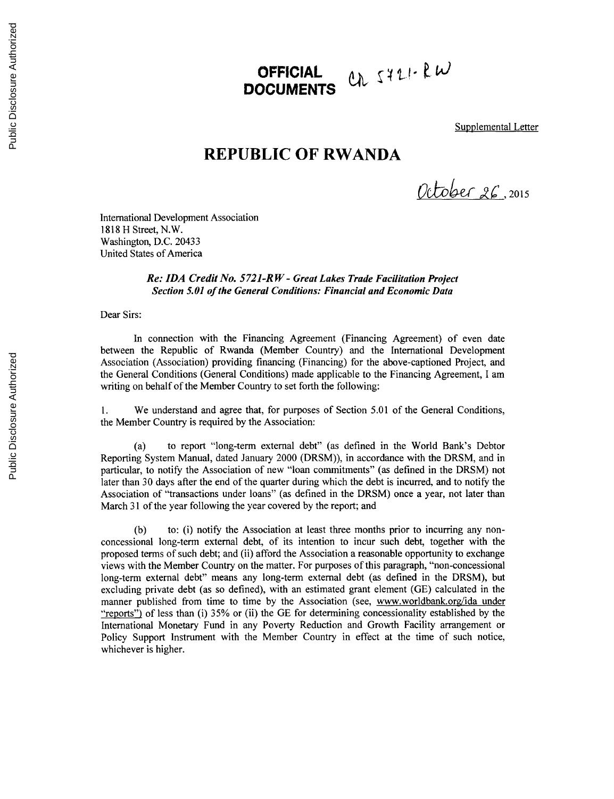## Ch 5721-RW **OFFICIAL DOCUMENTS**

Supplemental Letter

## **REPUBLIC OF RWANDA**

Otot &c , **<sup>2015</sup>**

International Development Association **1818** H Street, N.W. Washington, **D.C.** 20433 United States of America

> *Re: IDA Credit No. 5721-R W* **-** *Great Lakes Trade Facilitation Project Section 5.01 of the General Conditions: Financial* **and** *Economic Data*

Dear Sirs:

In connection with the Financing Agreement (Financing Agreement) of even date between the Republic of Rwanda (Member Country) and the International Development Association (Association) providing financing (Financing) for the above-captioned Project, and the General Conditions (General Conditions) made applicable to the Financing Agreement, **I** am writing on behalf of the Member Country to set forth the following:

**1.** We understand and agree that, for purposes of Section **5.01** of the General Conditions, the Member Country is required **by** the Association:

(a) to report "long-term external debt" (as defined in the World Bank's Debtor Reporting System Manual, dated January 2000 (DRSM)), in accordance with the DRSM, and in particular, to notify the Association of new "loan commitments" (as defined in the DRSM) not later than **30** days after the end of the quarter during which the debt is incurred, and to notify the Association of "transactions under loans" (as defined in the DRSM) once a year, not later than March **31** of the year following the year covered **by** the report; and

**(b)** to: (i) notify the Association at least three months prior to incurring any nonconcessional long-term external debt, of its intention to incur such debt, together with the proposed terms of such debt; and (ii) afford the Association a reasonable opportunity to exchange views with the Member Country on the matter. For purposes of this paragraph, "non-concessional long-term external debt" means any long-term external debt (as defined in the DRSM), but excluding private debt (as so defined), with an estimated grant element **(GE)** calculated in the manner published from time to time **by** the Association (see, www.worldbank.org/ida under "reports") of less than (i) **35%** or (ii) the **GE** for determining concessionality established **by** the International Monetary Fund in any Poverty Reduction and Growth Facility arrangement or Policy Support Instrument with the Member Country in effect at the time of such notice, whichever is higher.